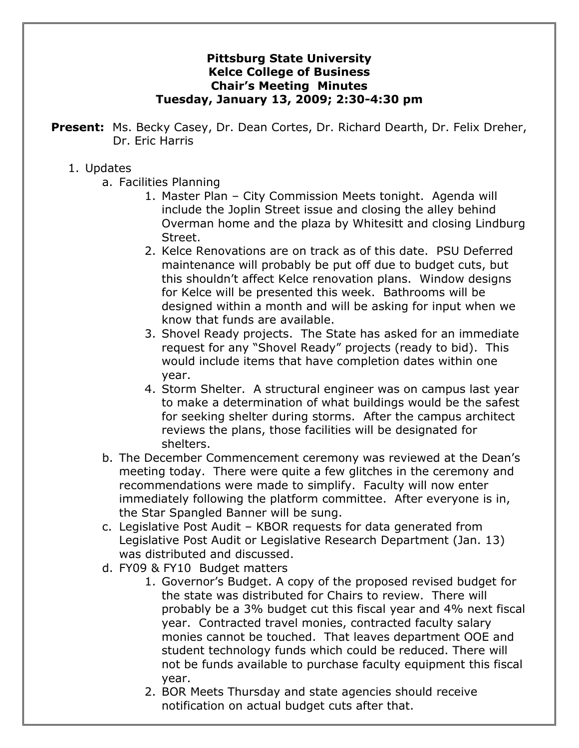## **Pittsburg State University Kelce College of Business Chair's Meeting Minutes Tuesday, January 13, 2009; 2:30-4:30 pm**

**Present:** Ms. Becky Casey, Dr. Dean Cortes, Dr. Richard Dearth, Dr. Felix Dreher, Dr. Eric Harris

## 1. Updates

- a. Facilities Planning
	- 1. Master Plan City Commission Meets tonight. Agenda will include the Joplin Street issue and closing the alley behind Overman home and the plaza by Whitesitt and closing Lindburg Street.
	- 2. Kelce Renovations are on track as of this date. PSU Deferred maintenance will probably be put off due to budget cuts, but this shouldn't affect Kelce renovation plans. Window designs for Kelce will be presented this week. Bathrooms will be designed within a month and will be asking for input when we know that funds are available.
	- 3. Shovel Ready projects. The State has asked for an immediate request for any "Shovel Ready" projects (ready to bid). This would include items that have completion dates within one year.
	- 4. Storm Shelter. A structural engineer was on campus last year to make a determination of what buildings would be the safest for seeking shelter during storms. After the campus architect reviews the plans, those facilities will be designated for shelters.
- b. The December Commencement ceremony was reviewed at the Dean's meeting today. There were quite a few glitches in the ceremony and recommendations were made to simplify. Faculty will now enter immediately following the platform committee. After everyone is in, the Star Spangled Banner will be sung.
- c. Legislative Post Audit KBOR requests for data generated from Legislative Post Audit or Legislative Research Department (Jan. 13) was distributed and discussed.
- d. FY09 & FY10 Budget matters
	- 1. Governor's Budget. A copy of the proposed revised budget for the state was distributed for Chairs to review. There will probably be a 3% budget cut this fiscal year and 4% next fiscal year. Contracted travel monies, contracted faculty salary monies cannot be touched. That leaves department OOE and student technology funds which could be reduced. There will not be funds available to purchase faculty equipment this fiscal year.
	- 2. BOR Meets Thursday and state agencies should receive notification on actual budget cuts after that.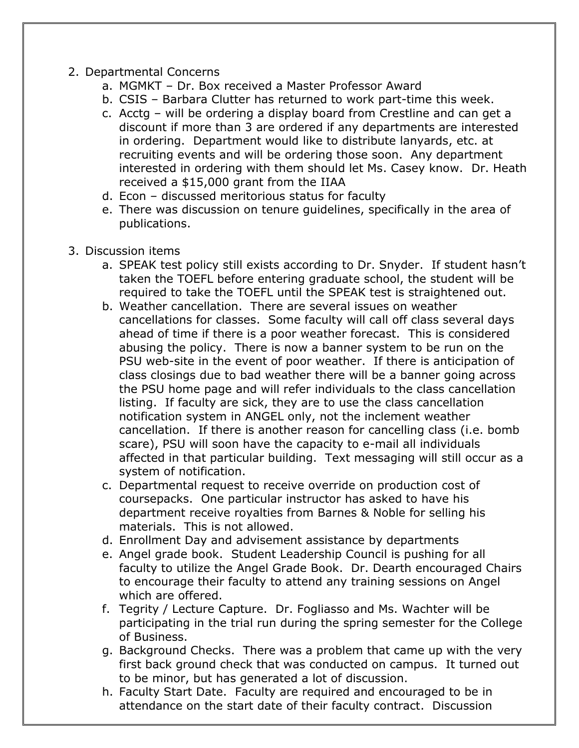## 2. Departmental Concerns

- a. MGMKT Dr. Box received a Master Professor Award
- b. CSIS Barbara Clutter has returned to work part-time this week.
- c. Acctg will be ordering a display board from Crestline and can get a discount if more than 3 are ordered if any departments are interested in ordering. Department would like to distribute lanyards, etc. at recruiting events and will be ordering those soon. Any department interested in ordering with them should let Ms. Casey know. Dr. Heath received a \$15,000 grant from the IIAA
- d. Econ discussed meritorious status for faculty
- e. There was discussion on tenure guidelines, specifically in the area of publications.
- 3. Discussion items
	- a. SPEAK test policy still exists according to Dr. Snyder. If student hasn't taken the TOEFL before entering graduate school, the student will be required to take the TOEFL until the SPEAK test is straightened out.
	- b. Weather cancellation. There are several issues on weather cancellations for classes. Some faculty will call off class several days ahead of time if there is a poor weather forecast. This is considered abusing the policy. There is now a banner system to be run on the PSU web-site in the event of poor weather. If there is anticipation of class closings due to bad weather there will be a banner going across the PSU home page and will refer individuals to the class cancellation listing. If faculty are sick, they are to use the class cancellation notification system in ANGEL only, not the inclement weather cancellation. If there is another reason for cancelling class (i.e. bomb scare), PSU will soon have the capacity to e-mail all individuals affected in that particular building. Text messaging will still occur as a system of notification.
	- c. Departmental request to receive override on production cost of coursepacks. One particular instructor has asked to have his department receive royalties from Barnes & Noble for selling his materials. This is not allowed.
	- d. Enrollment Day and advisement assistance by departments
	- e. Angel grade book. Student Leadership Council is pushing for all faculty to utilize the Angel Grade Book. Dr. Dearth encouraged Chairs to encourage their faculty to attend any training sessions on Angel which are offered.
	- f. Tegrity / Lecture Capture. Dr. Fogliasso and Ms. Wachter will be participating in the trial run during the spring semester for the College of Business.
	- g. Background Checks. There was a problem that came up with the very first back ground check that was conducted on campus. It turned out to be minor, but has generated a lot of discussion.
	- h. Faculty Start Date. Faculty are required and encouraged to be in attendance on the start date of their faculty contract. Discussion